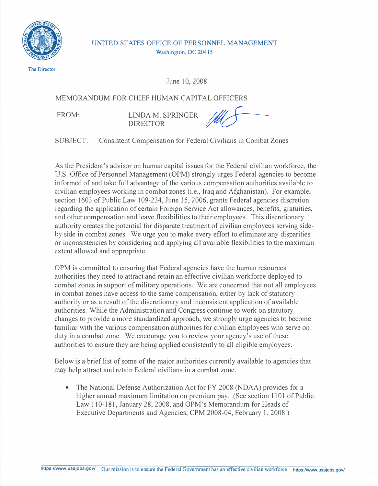

UNITED STATES OFFICE OF PERSONNEL MANAGEMENT Washington, DC 20415

The Director

June 10, 2008

MEMORANDUM FOR CHIEF HUMAN CAPITAL OFFICERS

FROM: LINDA M. SPRINGER DIRECTOR *yaf 0* 

SUBJECT: Consistent Compensation for Federal Civilians in Combat Zones

As the President's advisor on human capital issues for the Federal civilian workforce, the U.S. Office of Personnel Management **(OPM)** strongly urges Federal agencies to become informed of and take full advantage of the various compensation authorities available to civilian employees working in combat zones (i.e., Iraq and Afghanistan). For example, section 1603 of Public Law 109-234, June 15, 2006, grants Federal agencies discretion regarding the application of certain Foreign Service Act allowances, benefits, gratuities, and other compensation and leave flexibilities to their employees. This discretionary authority creates the potential for disparate treatment of civilian employees serving sideby side in combat zones. We urge you to make every effort to eliminate any disparities or inconsistencies by considering and applying all available flexibilities to the maximum extent allowed and appropriate.

OPM is committed to ensuring that Federal agencies have the human resources authorities they need to attract and retain an effective civilian workforce deployed to combat zones in support of military operations. We are concerned that not all employees in combat zones have access to the same compensation, either by lack of statutory authority or as a result of the discretionary and inconsistent application of available authorities. While the Administration and Congress continue to work on statutory changes to provide a more standardized approach, we strongly urge agencies to become familiar with the various compensation authorities for civilian employees who serve on duty in a combat zone. We encourage you to review your agency's use of these authorities to ensure they are being applied consistently to all eligible employees.

Below is a brief list of some of the major authorities currently available to agencies that may help attract and retain Federal civilians in a combat zone.

The National Defense Authorization Act for FY 2008 (NDAA) provides for a higher annual maximum limitation on premium pay. (See section 1101 of Public Law 110-181, January 28, 2008, and OPM's Memorandum for Heads of Executive Departments and Agencies, CPM 2008-04, February 1, 2008.)